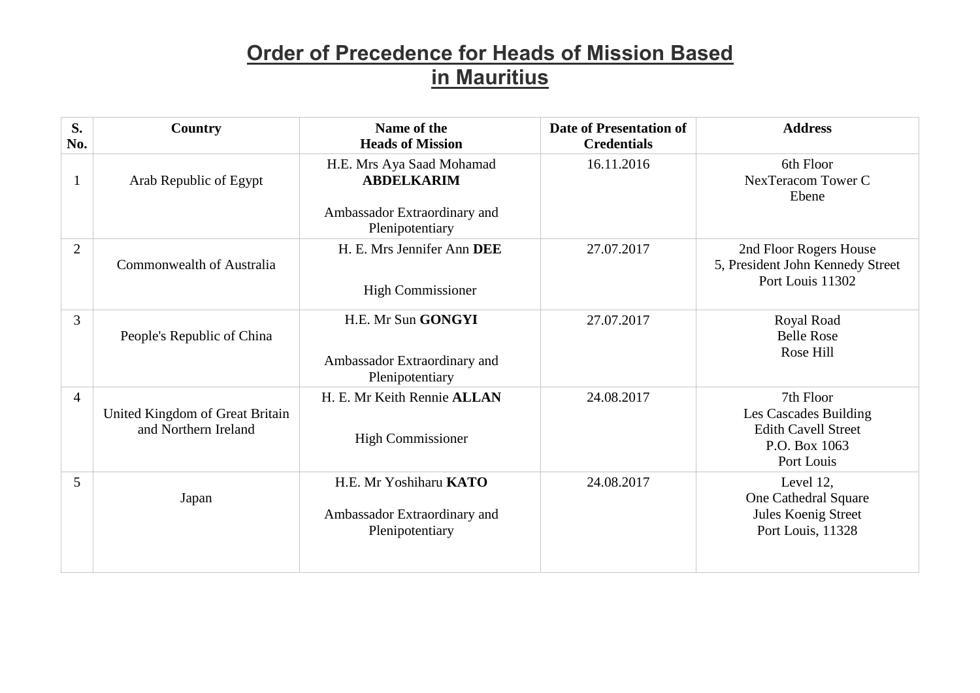| S.<br>No.      | Country                                                 | Name of the<br><b>Heads of Mission</b>                                    | <b>Date of Presentation of</b><br><b>Credentials</b> | <b>Address</b>                                                                                  |
|----------------|---------------------------------------------------------|---------------------------------------------------------------------------|------------------------------------------------------|-------------------------------------------------------------------------------------------------|
|                | Arab Republic of Egypt                                  | H.E. Mrs Aya Saad Mohamad<br><b>ABDELKARIM</b>                            | 16.11.2016                                           | 6th Floor<br>NexTeracom Tower C<br>Ebene                                                        |
|                |                                                         | Ambassador Extraordinary and<br>Plenipotentiary                           |                                                      |                                                                                                 |
| $\overline{2}$ | Commonwealth of Australia                               | H. E. Mrs Jennifer Ann DEE<br><b>High Commissioner</b>                    | 27.07.2017                                           | 2nd Floor Rogers House<br>5, President John Kennedy Street<br>Port Louis 11302                  |
| 3              | People's Republic of China                              | H.E. Mr Sun GONGYI<br>Ambassador Extraordinary and<br>Plenipotentiary     | 27.07.2017                                           | Royal Road<br><b>Belle Rose</b><br>Rose Hill                                                    |
| $\overline{4}$ | United Kingdom of Great Britain<br>and Northern Ireland | H. E. Mr Keith Rennie ALLAN<br><b>High Commissioner</b>                   | 24.08.2017                                           | 7th Floor<br>Les Cascades Building<br><b>Edith Cavell Street</b><br>P.O. Box 1063<br>Port Louis |
| 5              | Japan                                                   | H.E. Mr Yoshiharu KATO<br>Ambassador Extraordinary and<br>Plenipotentiary | 24.08.2017                                           | Level 12,<br>One Cathedral Square<br>Jules Koenig Street<br>Port Louis, 11328                   |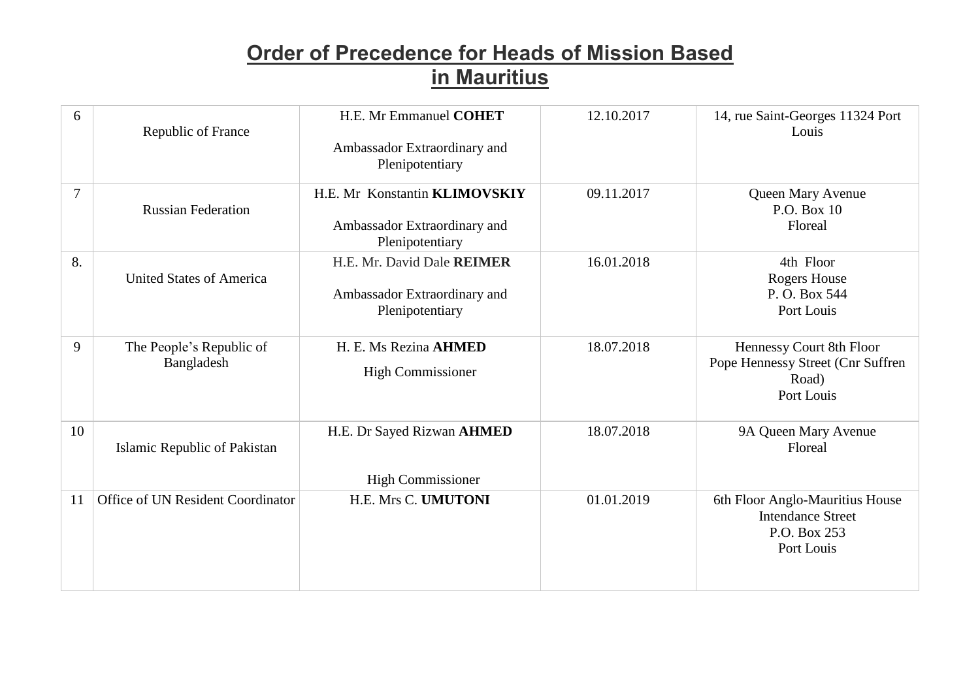| 6              | Republic of France                     | H.E. Mr Emmanuel COHET<br>Ambassador Extraordinary and<br>Plenipotentiary        | 12.10.2017 | 14, rue Saint-Georges 11324 Port<br>Louis                                                 |
|----------------|----------------------------------------|----------------------------------------------------------------------------------|------------|-------------------------------------------------------------------------------------------|
| $\overline{7}$ | <b>Russian Federation</b>              | H.E. Mr Konstantin KLIMOVSKIY<br>Ambassador Extraordinary and<br>Plenipotentiary | 09.11.2017 | Queen Mary Avenue<br>P.O. Box 10<br>Floreal                                               |
| 8.             | <b>United States of America</b>        | H.E. Mr. David Dale REIMER<br>Ambassador Extraordinary and<br>Plenipotentiary    | 16.01.2018 | 4th Floor<br><b>Rogers House</b><br>P.O. Box 544<br>Port Louis                            |
| 9              | The People's Republic of<br>Bangladesh | H. E. Ms Rezina AHMED<br><b>High Commissioner</b>                                | 18.07.2018 | Hennessy Court 8th Floor<br>Pope Hennessy Street (Cnr Suffren<br>Road)<br>Port Louis      |
| 10             | Islamic Republic of Pakistan           | H.E. Dr Sayed Rizwan AHMED<br><b>High Commissioner</b>                           | 18.07.2018 | 9A Queen Mary Avenue<br>Floreal                                                           |
| 11             | Office of UN Resident Coordinator      | <b>H.E. Mrs C. UMUTONI</b>                                                       | 01.01.2019 | 6th Floor Anglo-Mauritius House<br><b>Intendance Street</b><br>P.O. Box 253<br>Port Louis |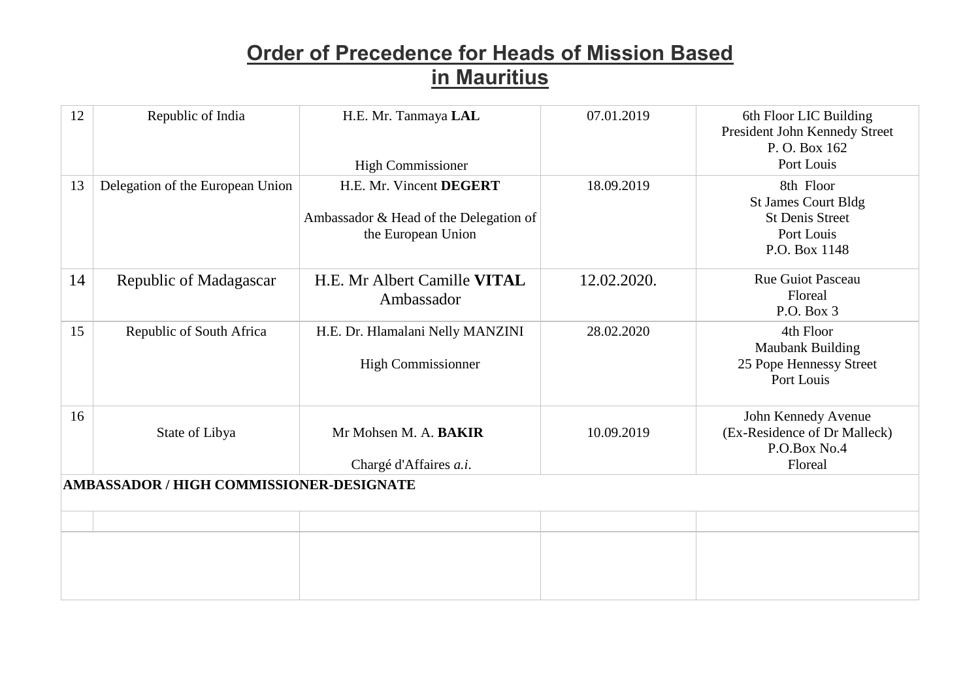| 12                                       | Republic of India                | H.E. Mr. Tanmaya LAL<br><b>High Commissioner</b>                                        | 07.01.2019  | 6th Floor LIC Building<br>President John Kennedy Street<br>P. O. Box 162<br>Port Louis           |  |
|------------------------------------------|----------------------------------|-----------------------------------------------------------------------------------------|-------------|--------------------------------------------------------------------------------------------------|--|
| 13                                       | Delegation of the European Union | H.E. Mr. Vincent DEGERT<br>Ambassador & Head of the Delegation of<br>the European Union | 18.09.2019  | 8th Floor<br><b>St James Court Bldg</b><br><b>St Denis Street</b><br>Port Louis<br>P.O. Box 1148 |  |
| 14                                       | Republic of Madagascar           | H.E. Mr Albert Camille VITAL<br>Ambassador                                              | 12.02.2020. | <b>Rue Guiot Pasceau</b><br>Floreal<br>P.O. Box 3                                                |  |
| 15                                       | Republic of South Africa         | H.E. Dr. Hlamalani Nelly MANZINI<br><b>High Commissionner</b>                           | 28.02.2020  | 4th Floor<br>Maubank Building<br>25 Pope Hennessy Street<br>Port Louis                           |  |
| 16                                       | State of Libya                   | Mr Mohsen M. A. BAKIR<br>Chargé d'Affaires a.i.                                         | 10.09.2019  | John Kennedy Avenue<br>(Ex-Residence of Dr Malleck)<br>P.O.Box No.4<br>Floreal                   |  |
| AMBASSADOR / HIGH COMMISSIONER-DESIGNATE |                                  |                                                                                         |             |                                                                                                  |  |
|                                          |                                  |                                                                                         |             |                                                                                                  |  |
|                                          |                                  |                                                                                         |             |                                                                                                  |  |